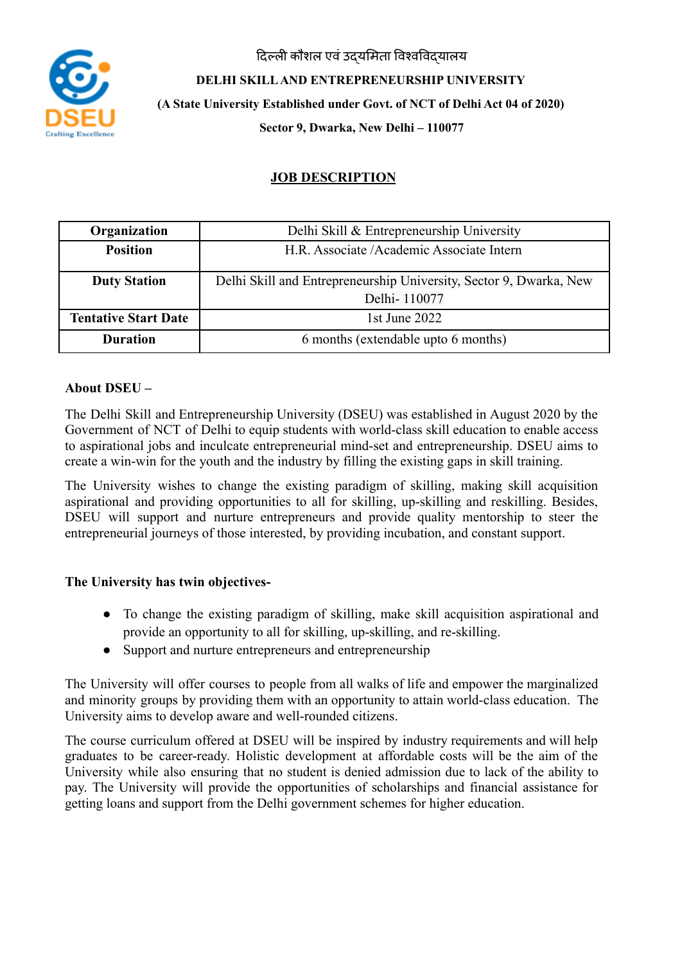दिल्ली कौशल एवं उदयमिता विश्वविदयालय



**DELHI SKILLAND ENTREPRENEURSHIP UNIVERSITY (A State University Established under Govt. of NCT of Delhi Act 04 of 2020) Sector 9, Dwarka, New Delhi – 110077**

# **JOB DESCRIPTION**

| Organization                | Delhi Skill & Entrepreneurship University                                          |
|-----------------------------|------------------------------------------------------------------------------------|
| <b>Position</b>             | H.R. Associate /Academic Associate Intern                                          |
| <b>Duty Station</b>         | Delhi Skill and Entrepreneurship University, Sector 9, Dwarka, New<br>Delhi-110077 |
| <b>Tentative Start Date</b> | 1st June $2022$                                                                    |
| <b>Duration</b>             | 6 months (extendable upto 6 months)                                                |

### **About DSEU –**

The Delhi Skill and Entrepreneurship University (DSEU) was established in August 2020 by the Government of NCT of Delhi to equip students with world-class skill education to enable access to aspirational jobs and inculcate entrepreneurial mind-set and entrepreneurship. DSEU aims to create a win-win for the youth and the industry by filling the existing gaps in skill training.

The University wishes to change the existing paradigm of skilling, making skill acquisition aspirational and providing opportunities to all for skilling, up-skilling and reskilling. Besides, DSEU will support and nurture entrepreneurs and provide quality mentorship to steer the entrepreneurial journeys of those interested, by providing incubation, and constant support.

# **The University has twin objectives-**

- To change the existing paradigm of skilling, make skill acquisition aspirational and provide an opportunity to all for skilling, up-skilling, and re-skilling.
- Support and nurture entrepreneurs and entrepreneurship

The University will offer courses to people from all walks of life and empower the marginalized and minority groups by providing them with an opportunity to attain world-class education. The University aims to develop aware and well-rounded citizens.

The course curriculum offered at DSEU will be inspired by industry requirements and will help graduates to be career-ready. Holistic development at affordable costs will be the aim of the University while also ensuring that no student is denied admission due to lack of the ability to pay. The University will provide the opportunities of scholarships and financial assistance for getting loans and support from the Delhi government schemes for higher education.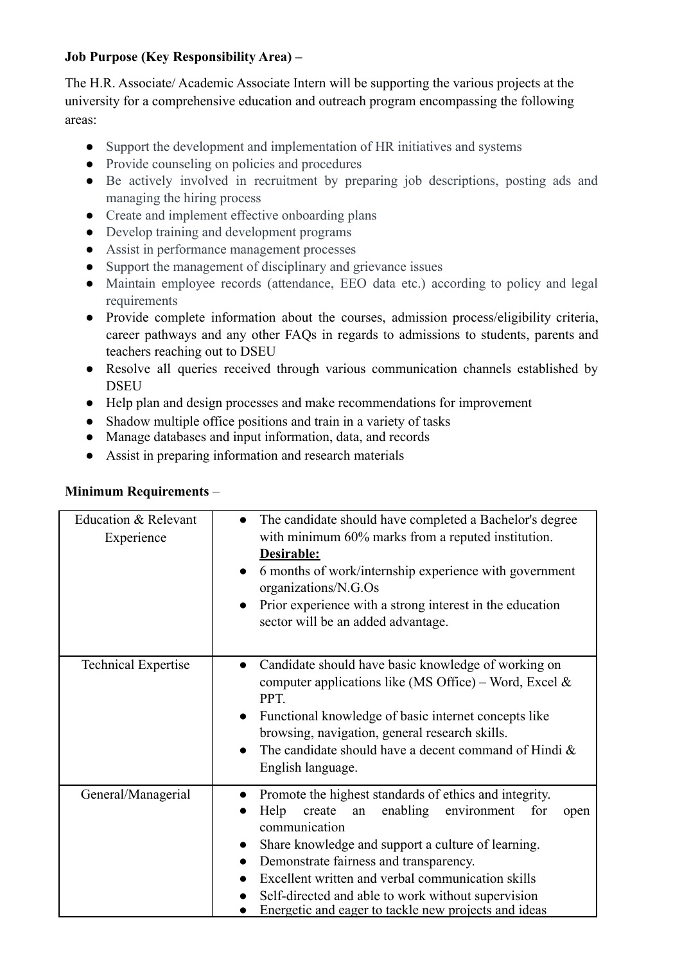# **Job Purpose (Key Responsibility Area) –**

The H.R. Associate/ Academic Associate Intern will be supporting the various projects at the university for a comprehensive education and outreach program encompassing the following areas:

- Support the development and implementation of HR initiatives and systems
- Provide counseling on policies and procedures
- Be actively involved in recruitment by preparing job descriptions, posting ads and managing the hiring process
- Create and implement effective onboarding plans
- Develop training and development programs
- Assist in performance management processes
- Support the management of disciplinary and grievance issues
- Maintain employee records (attendance, EEO data etc.) according to policy and legal requirements
- Provide complete information about the courses, admission process/eligibility criteria, career pathways and any other FAQs in regards to admissions to students, parents and teachers reaching out to DSEU
- Resolve all queries received through various communication channels established by DSEU
- Help plan and design processes and make recommendations for improvement
- Shadow multiple office positions and train in a variety of tasks
- Manage databases and input information, data, and records
- Assist in preparing information and research materials

#### **Minimum Requirements** –

| Education & Relevant<br>Experience | The candidate should have completed a Bachelor's degree<br>$\bullet$<br>with minimum 60% marks from a reputed institution.<br>Desirable:<br>6 months of work/internship experience with government<br>organizations/N.G.Os<br>Prior experience with a strong interest in the education<br>sector will be an added advantage.                                                                                                           |
|------------------------------------|----------------------------------------------------------------------------------------------------------------------------------------------------------------------------------------------------------------------------------------------------------------------------------------------------------------------------------------------------------------------------------------------------------------------------------------|
| <b>Technical Expertise</b>         | Candidate should have basic knowledge of working on<br>$\bullet$<br>computer applications like (MS Office) – Word, Excel $\&$<br>PPT.<br>Functional knowledge of basic internet concepts like<br>$\bullet$<br>browsing, navigation, general research skills.<br>The candidate should have a decent command of Hindi &<br>English language.                                                                                             |
| General/Managerial                 | Promote the highest standards of ethics and integrity.<br>Help<br>enabling<br>create<br>environment<br>for<br>an<br>open<br>communication<br>Share knowledge and support a culture of learning.<br>$\bullet$<br>Demonstrate fairness and transparency.<br>$\bullet$<br>Excellent written and verbal communication skills<br>Self-directed and able to work without supervision<br>Energetic and eager to tackle new projects and ideas |